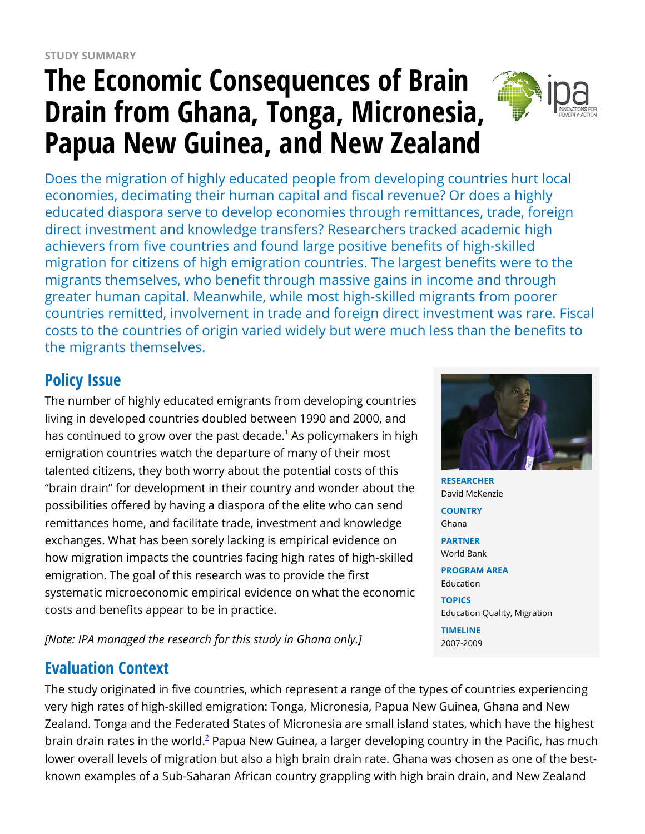# **The Economic Consequences of Brain Drain from Ghana, Tonga, Micronesia, Papua New Guinea, and New Zealand**



Does the migration of highly educated people from developing countries hurt local economies, decimating their human capital and fiscal revenue? Or does a highly educated diaspora serve to develop economies through remittances, trade, foreign direct investment and knowledge transfers? Researchers tracked academic high achievers from five countries and found large positive benefits of high-skilled migration for citizens of high emigration countries. The largest benefits were to the migrants themselves, who benefit through massive gains in income and through greater human capital. Meanwhile, while most high-skilled migrants from poorer countries remitted, involvement in trade and foreign direct investment was rare. Fiscal costs to the countries of origin varied widely but were much less than the benefits to the migrants themselves.

## **Policy Issue**

The number of highly educated emigrants from developing countries living in developed countries doubled between 1990 and 2000, and has continued to grow over the past decade. $^{\rm 1}$  $^{\rm 1}$  $^{\rm 1}$  As policymakers in high emigration countries watch the departure of many of their most talented citizens, they both worry about the potential costs of this "brain drain" for development in their country and wonder about the possibilities offered by having a diaspora of the elite who can send remittances home, and facilitate trade, investment and knowledge exchanges. What has been sorely lacking is empirical evidence on how migration impacts the countries facing high rates of high-skilled emigration. The goal of this research was to provide the first systematic microeconomic empirical evidence on what the economic costs and benefits appear to be in practice.

*[Note: IPA managed the research for this study in Ghana only.]*

## **Evaluation Context**

The study originated in five countries, which represent a range of the types of countries experiencing very high rates of high-skilled emigration: Tonga, Micronesia, Papua New Guinea, Ghana and New Zealand. Tonga and the Federated States of Micronesia are small island states, which have the highest brain drain rates in the world. $^2$  $^2$  Papua New Guinea, a larger developing country in the Pacific, has much lower overall levels of migration but also a high brain drain rate. Ghana was chosen as one of the bestknown examples of a Sub-Saharan African country grappling with high brain drain, and New Zealand



**RESEARCHER** David McKenzie

**COUNTRY** Ghana

**PARTNER** World Bank

**PROGRAM AREA** Education

#### **TOPICS**

Education Quality, Migration **TIMELINE** 2007-2009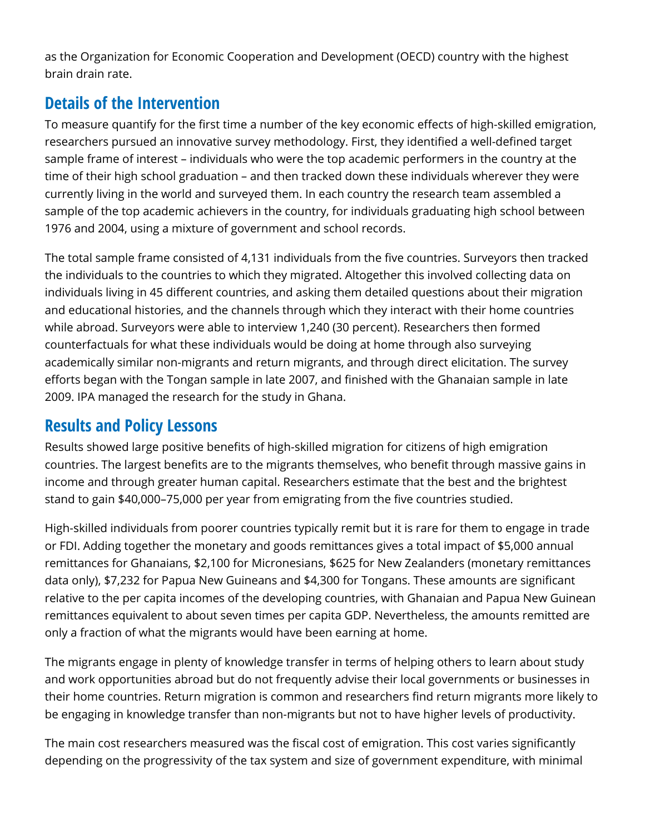as the Organization for Economic Cooperation and Development (OECD) country with the highest brain drain rate.

## **Details of the Intervention**

To measure quantify for the first time a number of the key economic effects of high-skilled emigration, researchers pursued an innovative survey methodology. First, they identified a well-defined target sample frame of interest – individuals who were the top academic performers in the country at the time of their high school graduation – and then tracked down these individuals wherever they were currently living in the world and surveyed them. In each country the research team assembled a sample of the top academic achievers in the country, for individuals graduating high school between 1976 and 2004, using a mixture of government and school records.

The total sample frame consisted of 4,131 individuals from the five countries. Surveyors then tracked the individuals to the countries to which they migrated. Altogether this involved collecting data on individuals living in 45 different countries, and asking them detailed questions about their migration and educational histories, and the channels through which they interact with their home countries while abroad. Surveyors were able to interview 1,240 (30 percent). Researchers then formed counterfactuals for what these individuals would be doing at home through also surveying academically similar non-migrants and return migrants, and through direct elicitation. The survey efforts began with the Tongan sample in late 2007, and finished with the Ghanaian sample in late 2009. IPA managed the research for the study in Ghana.

## **Results and Policy Lessons**

Results showed large positive benefits of high-skilled migration for citizens of high emigration countries. The largest benefits are to the migrants themselves, who benefit through massive gains in income and through greater human capital. Researchers estimate that the best and the brightest stand to gain \$40,000–75,000 per year from emigrating from the five countries studied.

High-skilled individuals from poorer countries typically remit but it is rare for them to engage in trade or FDI. Adding together the monetary and goods remittances gives a total impact of \$5,000 annual remittances for Ghanaians, \$2,100 for Micronesians, \$625 for New Zealanders (monetary remittances data only), \$7,232 for Papua New Guineans and \$4,300 for Tongans. These amounts are significant relative to the per capita incomes of the developing countries, with Ghanaian and Papua New Guinean remittances equivalent to about seven times per capita GDP. Nevertheless, the amounts remitted are only a fraction of what the migrants would have been earning at home.

The migrants engage in plenty of knowledge transfer in terms of helping others to learn about study and work opportunities abroad but do not frequently advise their local governments or businesses in their home countries. Return migration is common and researchers find return migrants more likely to be engaging in knowledge transfer than non-migrants but not to have higher levels of productivity.

The main cost researchers measured was the fiscal cost of emigration. This cost varies significantly depending on the progressivity of the tax system and size of government expenditure, with minimal